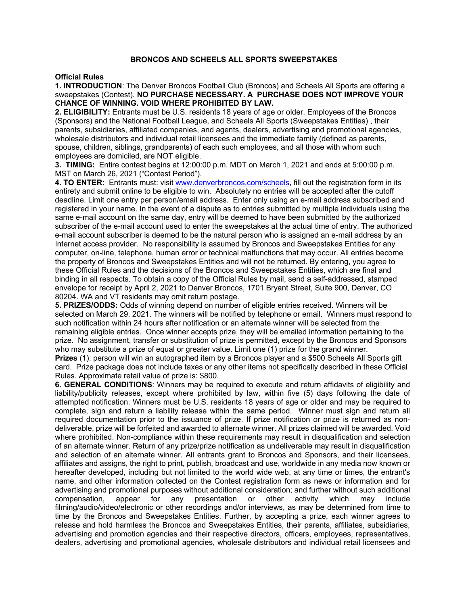## **BRONCOS AND SCHEELS ALL SPORTS SWEEPSTAKES**

## **Official Rules**

## **1. INTRODUCTION**: The Denver Broncos Football Club (Broncos) and Scheels All Sports are offering a sweepstakes (Contest). **NO PURCHASE NECESSARY. A PURCHASE DOES NOT IMPROVE YOUR CHANCE OF WINNING. VOID WHERE PROHIBITED BY LAW.**

**2. ELIGIBILITY:** Entrants must be U.S. residents 18 years of age or older. Employees of the Broncos (Sponsors) and the National Football League, and Scheels All Sports (Sweepstakes Entities) , their parents, subsidiaries, affiliated companies, and agents, dealers, advertising and promotional agencies, wholesale distributors and individual retail licensees and the immediate family (defined as parents, spouse, children, siblings, grandparents) of each such employees, and all those with whom such employees are domiciled, are NOT eligible.

**3. TIMING:** Entire contest begins at 12:00:00 p.m. MDT on March 1, 2021 and ends at 5:00:00 p.m. MST on March 26, 2021 ("Contest Period").

**4. TO ENTER:** Entrants must: visit www.denverbroncos.com/scheels, fill out the registration form in its entirety and submit online to be eligible to win. Absolutely no entries will be accepted after the cutoff deadline. Limit one entry per person/email address. Enter only using an e-mail address subscribed and registered in your name. In the event of a dispute as to entries submitted by multiple individuals using the same e-mail account on the same day, entry will be deemed to have been submitted by the authorized subscriber of the e-mail account used to enter the sweepstakes at the actual time of entry. The authorized e-mail account subscriber is deemed to be the natural person who is assigned an e-mail address by an Internet access provider. No responsibility is assumed by Broncos and Sweepstakes Entities for any computer, on-line, telephone, human error or technical malfunctions that may occur. All entries become the property of Broncos and Sweepstakes Entities and will not be returned. By entering, you agree to these Official Rules and the decisions of the Broncos and Sweepstakes Entities, which are final and binding in all respects. To obtain a copy of the Official Rules by mail, send a self-addressed, stamped envelope for receipt by April 2, 2021 to Denver Broncos, 1701 Bryant Street, Suite 900, Denver, CO 80204. WA and VT residents may omit return postage.

**5. PRIZES/ODDS:** Odds of winning depend on number of eligible entries received. Winners will be selected on March 29, 2021. The winners will be notified by telephone or email. Winners must respond to such notification within 24 hours after notification or an alternate winner will be selected from the remaining eligible entries. Once winner accepts prize, they will be emailed information pertaining to the prize. No assignment, transfer or substitution of prize is permitted, except by the Broncos and Sponsors who may substitute a prize of equal or greater value. Limit one (1) prize for the grand winner.

**Prizes** (1): person will win an autographed item by a Broncos player and a \$500 Scheels All Sports gift card. Prize package does not include taxes or any other items not specifically described in these Official Rules. Approximate retail value of prize is: \$800.

**6. GENERAL CONDITIONS**: Winners may be required to execute and return affidavits of eligibility and liability/publicity releases, except where prohibited by law, within five (5) days following the date of attempted notification. Winners must be U.S. residents 18 years of age or older and may be required to complete, sign and return a liability release within the same period. Winner must sign and return all required documentation prior to the issuance of prize. If prize notification or prize is returned as nondeliverable, prize will be forfeited and awarded to alternate winner. All prizes claimed will be awarded. Void where prohibited. Non-compliance within these requirements may result in disqualification and selection of an alternate winner. Return of any prize/prize notification as undeliverable may result in disqualification and selection of an alternate winner. All entrants grant to Broncos and Sponsors, and their licensees, affiliates and assigns, the right to print, publish, broadcast and use, worldwide in any media now known or hereafter developed, including but not limited to the world wide web, at any time or times, the entrant's name, and other information collected on the Contest registration form as news or information and for advertising and promotional purposes without additional consideration; and further without such additional compensation, appear for any presentation or other activity which may include filming/audio/video/electronic or other recordings and/or interviews, as may be determined from time to time by the Broncos and Sweepstakes Entities. Further, by accepting a prize, each winner agrees to release and hold harmless the Broncos and Sweepstakes Entities, their parents, affiliates, subsidiaries, advertising and promotion agencies and their respective directors, officers, employees, representatives, dealers, advertising and promotional agencies, wholesale distributors and individual retail licensees and